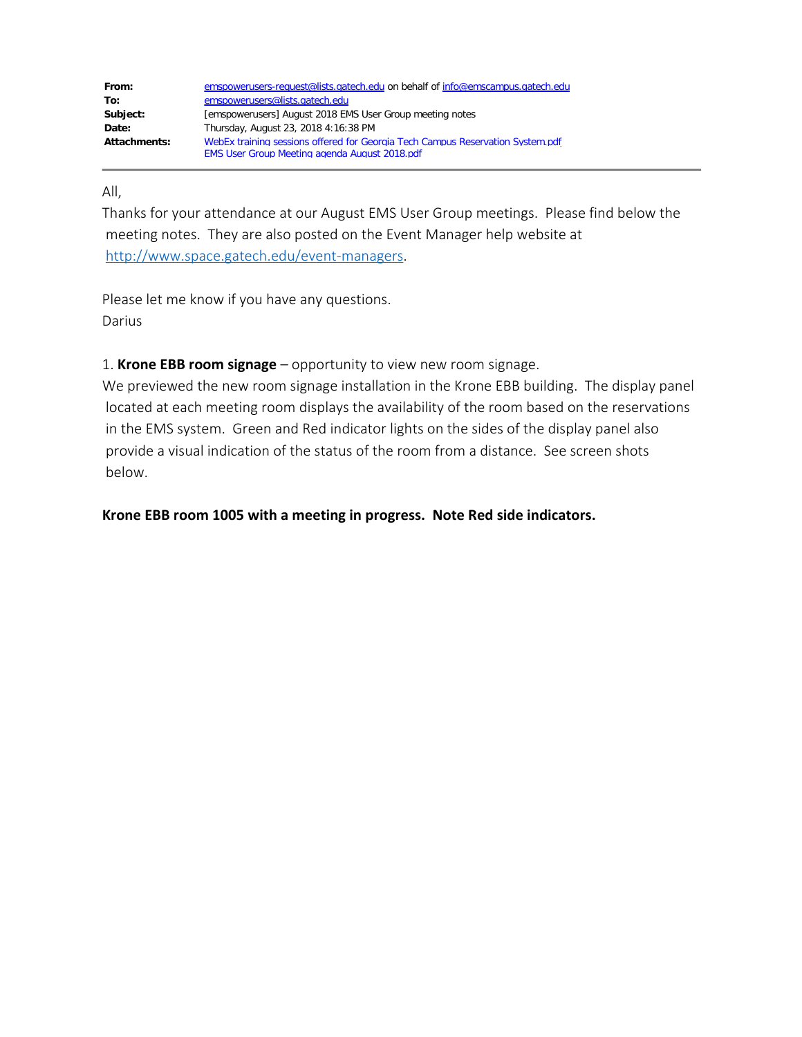| From:        | emspowerusers-request@lists.gatech.edu on behalf of info@emscampus.gatech.edu  |
|--------------|--------------------------------------------------------------------------------|
| To:          | emspowerusers@lists.gatech.edu                                                 |
| Subject:     | [emspowerusers] August 2018 EMS User Group meeting notes                       |
| Date:        | Thursday, August 23, 2018 4:16:38 PM                                           |
| Attachments: | WebEx training sessions offered for Georgia Tech Campus Reservation System.pdf |
|              | <b>EMS User Group Meeting agenda August 2018.pdf</b>                           |

## All,

Thanks for your attendance at our August EMS User Group meetings. Please find below the meeting notes. They are also posted on the Event Manager help website at <http://www.space.gatech.edu/event-managers>.

Please let me know if you have any questions. Darius

1. **Krone EBB room signage** – opportunity to view new room signage.

We previewed the new room signage installation in the Krone EBB building. The display panel located at each meeting room displays the availability of the room based on the reservations in the EMS system. Green and Red indicator lights on the sides of the display panel also provide a visual indication of the status of the room from a distance. See screen shots below.

**Krone EBB room 1005 with a meeting in progress. Note Red side indicators.**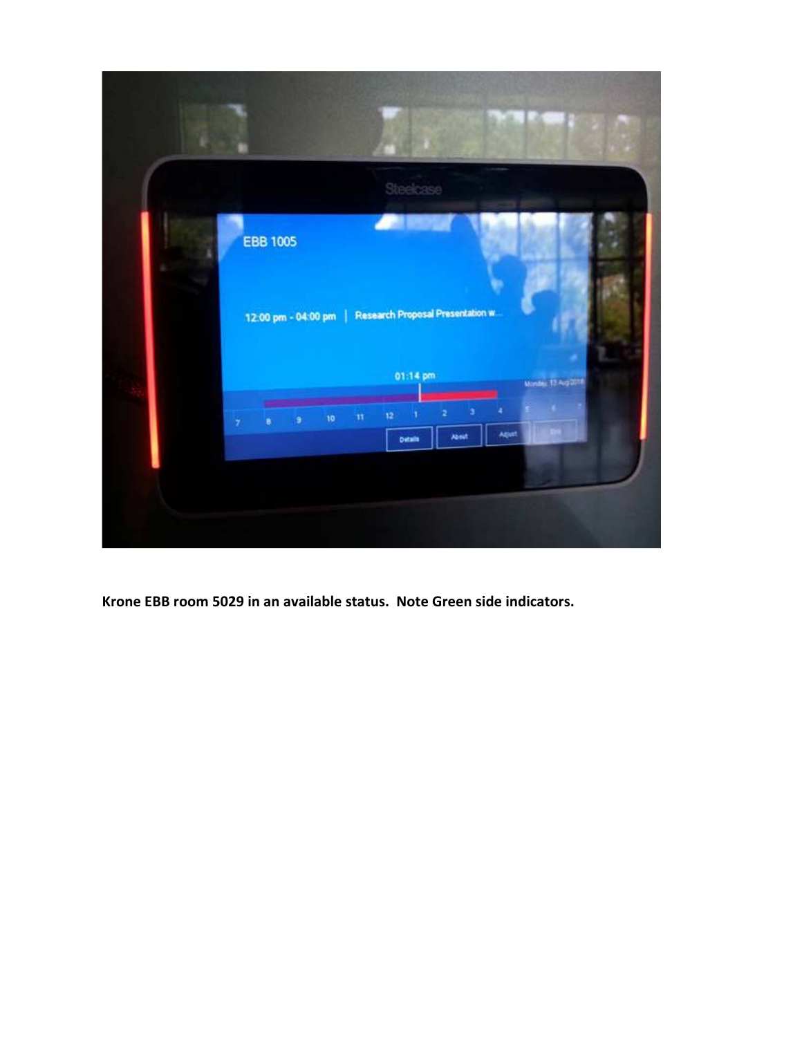

**Krone EBB room 5029 in an available status. Note Green side indicators.**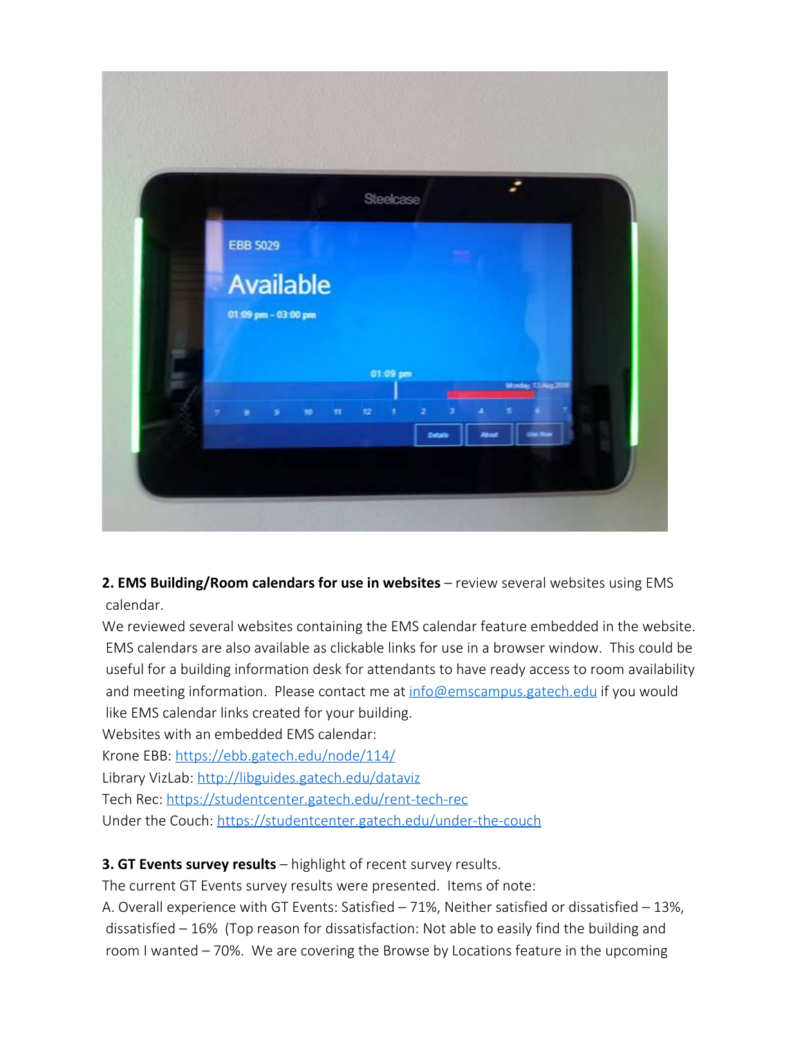

**2. EMS Building/Room calendars for use in websites** – review several websites using EMS calendar.

We reviewed several websites containing the EMS calendar feature embedded in the website. EMS calendars are also available as clickable links for use in a browser window. This could be useful for a building information desk for attendants to have ready access to room availability and meeting information. Please contact me at [info@emscampus.gatech.edu](mailto:info@emscampus.gatech.edu) if you would like EMS calendar links created for your building.

Websites with an embedded EMS calendar:

Krone EBB: <https://ebb.gatech.edu/node/114/>

Library VizLab:<http://libguides.gatech.edu/dataviz>

Tech Rec:<https://studentcenter.gatech.edu/rent-tech-rec>

Under the Couch: <https://studentcenter.gatech.edu/under-the-couch>

**3. GT Events survey results** – highlight of recent survey results.

The current GT Events survey results were presented. Items of note:

A. Overall experience with GT Events: Satisfied – 71%, Neither satisfied or dissatisfied – 13%, dissatisfied – 16% (Top reason for dissatisfaction: Not able to easily find the building and room I wanted – 70%. We are covering the Browse by Locations feature in the upcoming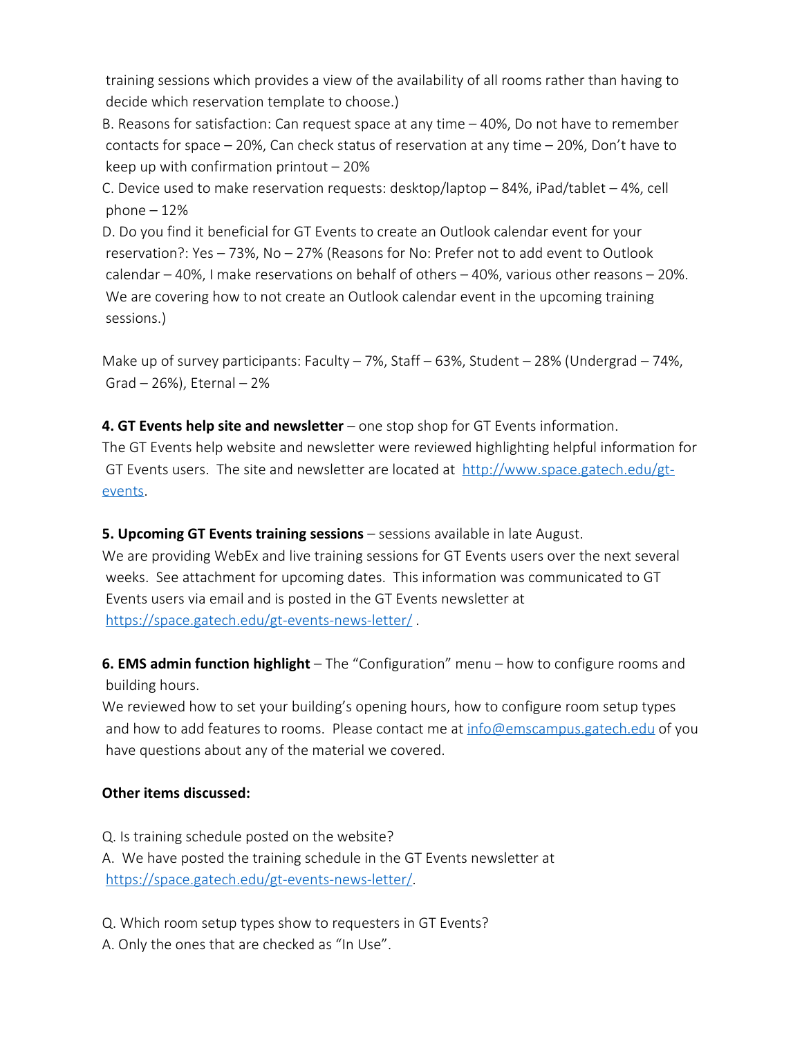training sessions which provides a view of the availability of all rooms rather than having to decide which reservation template to choose.)

B. Reasons for satisfaction: Can request space at any time – 40%, Do not have to remember contacts for space – 20%, Can check status of reservation at any time – 20%, Don't have to keep up with confirmation printout  $-20\%$ 

C. Device used to make reservation requests: desktop/laptop – 84%, iPad/tablet – 4%, cell phone  $-12%$ 

D. Do you find it beneficial for GT Events to create an Outlook calendar event for your reservation?: Yes – 73%, No – 27% (Reasons for No: Prefer not to add event to Outlook calendar – 40%, I make reservations on behalf of others – 40%, various other reasons – 20%. We are covering how to not create an Outlook calendar event in the upcoming training sessions.)

Make up of survey participants: Faculty  $-7\%$ , Staff  $-63\%$ , Student  $-28\%$  (Undergrad  $-74\%$ , Grad  $-26%$ ), Eternal  $-2%$ 

**4. GT Events help site and newsletter** – one stop shop for GT Events information. The GT Events help website and newsletter were reviewed highlighting helpful information for GT Events users. The site and newsletter are located at  $<http://www.space.gatech.edu/gt-1>$ [events.](http://www.space.gatech.edu/gt-events)

**5. Upcoming GT Events training sessions** – sessions available in late August. We are providing WebEx and live training sessions for GT Events users over the next several weeks. See attachment for upcoming dates. This information was communicated to GT Events users via email and is posted in the GT Events newsletter at <https://space.gatech.edu/gt-events-news-letter/> .

**6. EMS admin function highlight** – The "Configuration" menu – how to configure rooms and building hours.

We reviewed how to set your building's opening hours, how to configure room setup types and how to add features to rooms. Please contact me at  $info@emscampus.gatech.edu$  of you have questions about any of the material we covered.

## **Other items discussed:**

Q. Is training schedule posted on the website? A. We have posted the training schedule in the GT Events newsletter at <https://space.gatech.edu/gt-events-news-letter/>.

Q. Which room setup types show to requesters in GT Events?

A. Only the ones that are checked as "In Use".